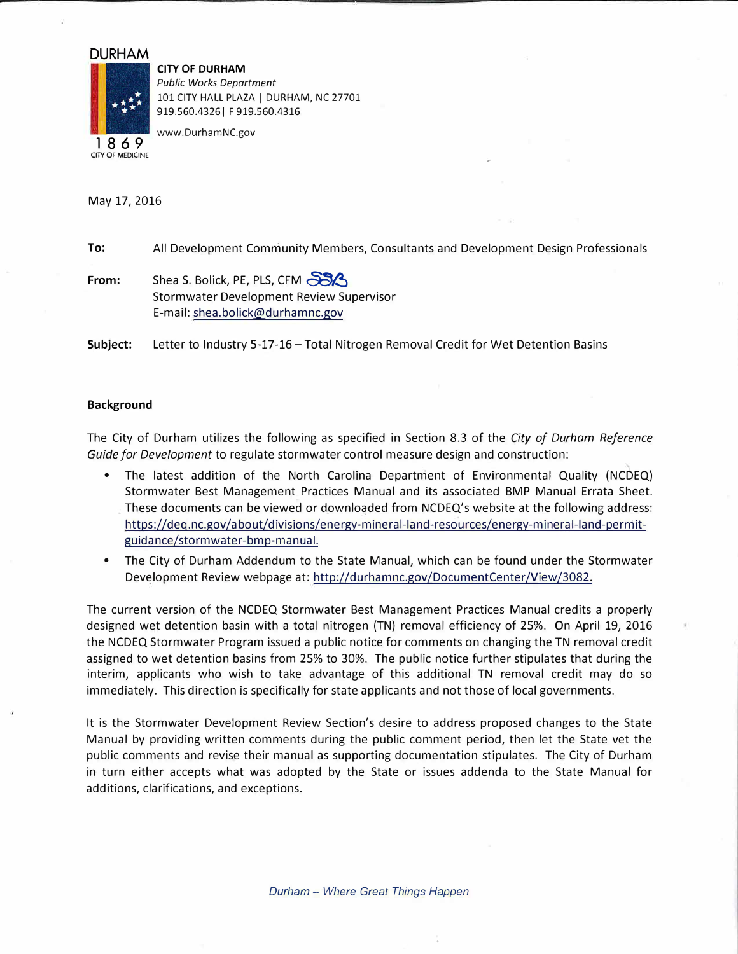## **DURHAM**



**CITY OF DURHAM**  *Public Works Department*  101 CITY HALL PLAZA | DURHAM, NC 27701 919.560.4326 | F 919.560.4316

**1 8 6 9**  CITY OF MEDICINE www.DurhamNC.gov

May 17, 2016

**To:**  All Development Community Members, Consultants and Development Design Professionals

**From:**  Shea S. Bolick, PE, PLS, CFM Stormwater Development Review Supervisor E-mail: shea.bolick@durhamnc.gov

Subject: Letter to Industry 5-17-16 - Total Nitrogen Removal Credit for Wet Detention Basins

## **Background**

The City of Durham utilizes the following as specified in Section 8.3 of the *City of Durham Reference Guide for Development* to regulate stormwater control measure design and construction:

- The latest addition of the North Carolina Department of Environmental Quality (NCDEQ) Stormwater Best Management Practices Manual and its associated BMP Manual Errata Sheet. These documents can be viewed or downloaded from NCDEQ's website at the following address: https://deq.nc.gov/about/divisions/energy-mineral-land-resources/energy-mineral-land-permitguidance/stormwater-bmp-manual.
- The City of Durham Addendum to the State Manual, which can be found under the Stormwater Development Review webpage at: http://durhamnc.gov/DocumentCenter/View/3082.

The current version of the NCDEQ Stormwater Best Management Practices Manual credits a properly designed wet detention basin with a total nitrogen (TN) removal efficiency of 25%. On April 19, 2016 the NCDEQ Stormwater Program issued a public notice for comments on changing the TN removal credit assigned to wet detention basins from 25% to 30%. The public notice further stipulates that during the interim, applicants who wish to take advantage of this additional TN removal credit may do so immediately. This direction is specifically for state applicants and not those of local governments.

It is the Stormwater Development Review Section's desire to address proposed changes to the State Manual by providing written comments during the public comment period, then let the State vet the public comments and revise their manual as supporting documentation stipulates. The City of Durham in turn either accepts what was adopted by the State or issues addenda to the State Manual for additions, clarifications, and exceptions.